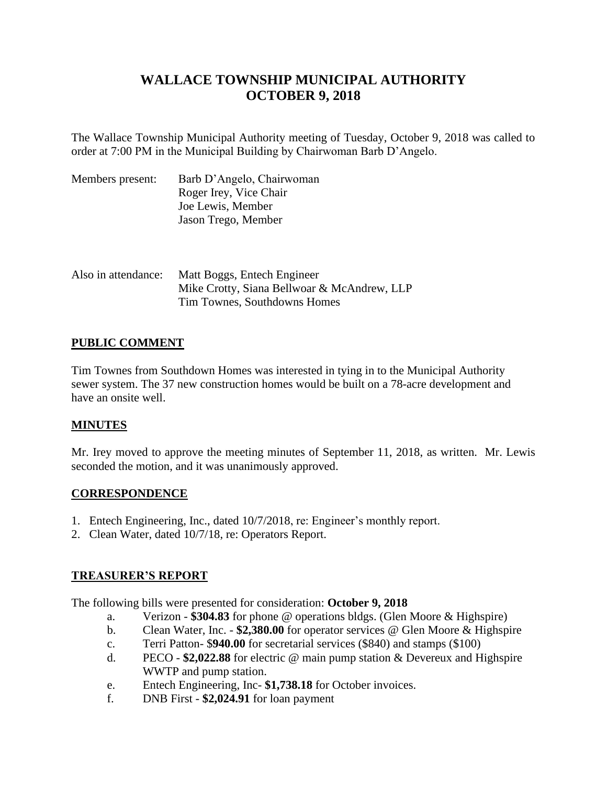# **WALLACE TOWNSHIP MUNICIPAL AUTHORITY OCTOBER 9, 2018**

The Wallace Township Municipal Authority meeting of Tuesday, October 9, 2018 was called to order at 7:00 PM in the Municipal Building by Chairwoman Barb D'Angelo.

| Members present: | Barb D'Angelo, Chairwoman |
|------------------|---------------------------|
|                  | Roger Irey, Vice Chair    |
|                  | Joe Lewis, Member         |
|                  | Jason Trego, Member       |
|                  |                           |

| Also in attendance: | Matt Boggs, Entech Engineer                 |
|---------------------|---------------------------------------------|
|                     | Mike Crotty, Siana Bellwoar & McAndrew, LLP |
|                     | Tim Townes, Southdowns Homes                |

### **PUBLIC COMMENT**

Tim Townes from Southdown Homes was interested in tying in to the Municipal Authority sewer system. The 37 new construction homes would be built on a 78-acre development and have an onsite well.

## **MINUTES**

Mr. Irey moved to approve the meeting minutes of September 11, 2018, as written. Mr. Lewis seconded the motion, and it was unanimously approved.

### **CORRESPONDENCE**

- 1. Entech Engineering, Inc., dated 10/7/2018, re: Engineer's monthly report.
- 2. Clean Water, dated 10/7/18, re: Operators Report.

### **TREASURER'S REPORT**

The following bills were presented for consideration: **October 9, 2018**

- a. Verizon **\$304.83** for phone @ operations bldgs. (Glen Moore & Highspire)
- b. Clean Water, Inc. **\$2,380.00** for operator services @ Glen Moore & Highspire
- c. Terri Patton- \$**940.00** for secretarial services (\$840) and stamps (\$100)
- d. PECO **\$2,022.88** for electric @ main pump station & Devereux and Highspire WWTP and pump station.
- e. Entech Engineering, Inc- **\$1,738.18** for October invoices.
- f. DNB First **\$2,024.91** for loan payment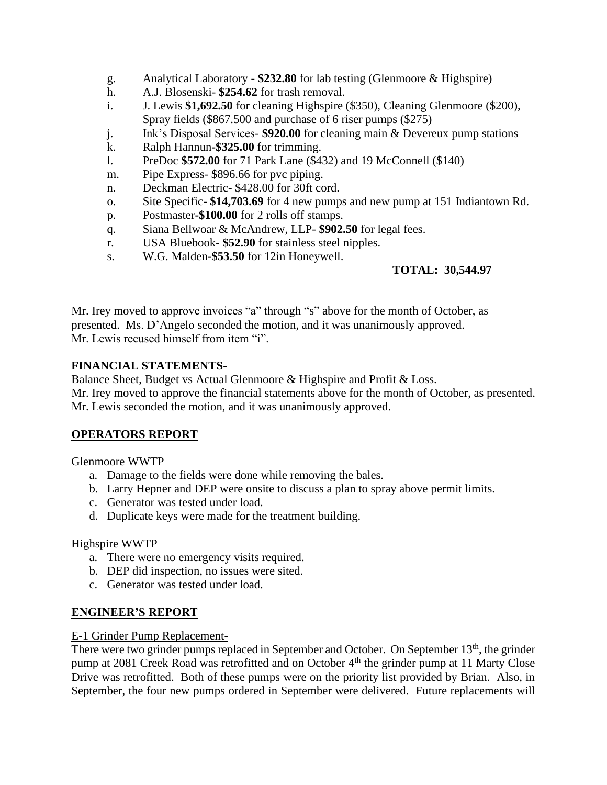- g. Analytical Laboratory **\$232.80** for lab testing (Glenmoore & Highspire)
- h. A.J. Blosenski- **\$254.62** for trash removal.
- i. J. Lewis **\$1,692.50** for cleaning Highspire (\$350), Cleaning Glenmoore (\$200), Spray fields (\$867.500 and purchase of 6 riser pumps (\$275)
- j. Ink's Disposal Services- **\$920.00** for cleaning main & Devereux pump stations
- k. Ralph Hannun**-\$325.00** for trimming.
- l. PreDoc **\$572.00** for 71 Park Lane (\$432) and 19 McConnell (\$140)
- m. Pipe Express- \$896.66 for pvc piping.
- n. Deckman Electric- \$428.00 for 30ft cord.
- o. Site Specific- **\$14,703.69** for 4 new pumps and new pump at 151 Indiantown Rd.
- p. Postmaster**-\$100.00** for 2 rolls off stamps.
- q. Siana Bellwoar & McAndrew, LLP- **\$902.50** for legal fees.
- r. USA Bluebook- **\$52.90** for stainless steel nipples.
- s. W.G. Malden**-\$53.50** for 12in Honeywell.

### **TOTAL: 30,544.97**

Mr. Irey moved to approve invoices "a" through "s" above for the month of October, as presented. Ms. D'Angelo seconded the motion, and it was unanimously approved. Mr. Lewis recused himself from item "i".

#### **FINANCIAL STATEMENTS**-

Balance Sheet, Budget vs Actual Glenmoore & Highspire and Profit & Loss.

Mr. Irey moved to approve the financial statements above for the month of October, as presented. Mr. Lewis seconded the motion, and it was unanimously approved.

### **OPERATORS REPORT**

#### Glenmoore WWTP

- a. Damage to the fields were done while removing the bales.
- b. Larry Hepner and DEP were onsite to discuss a plan to spray above permit limits.
- c. Generator was tested under load.
- d. Duplicate keys were made for the treatment building.

#### Highspire WWTP

- a. There were no emergency visits required.
- b. DEP did inspection, no issues were sited.
- c. Generator was tested under load.

#### **ENGINEER'S REPORT**

#### E-1 Grinder Pump Replacement-

There were two grinder pumps replaced in September and October. On September 13<sup>th</sup>, the grinder pump at 2081 Creek Road was retrofitted and on October 4<sup>th</sup> the grinder pump at 11 Marty Close Drive was retrofitted. Both of these pumps were on the priority list provided by Brian. Also, in September, the four new pumps ordered in September were delivered. Future replacements will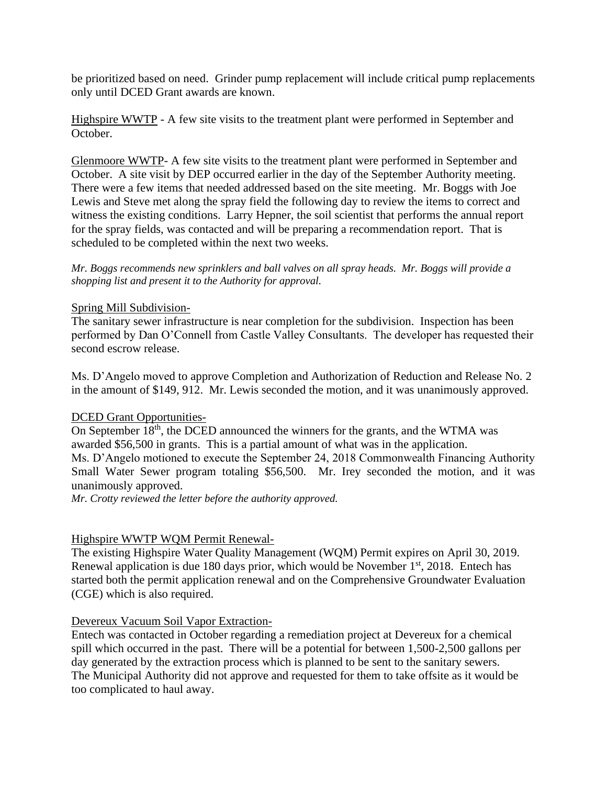be prioritized based on need. Grinder pump replacement will include critical pump replacements only until DCED Grant awards are known.

Highspire WWTP - A few site visits to the treatment plant were performed in September and October.

Glenmoore WWTP- A few site visits to the treatment plant were performed in September and October. A site visit by DEP occurred earlier in the day of the September Authority meeting. There were a few items that needed addressed based on the site meeting. Mr. Boggs with Joe Lewis and Steve met along the spray field the following day to review the items to correct and witness the existing conditions. Larry Hepner, the soil scientist that performs the annual report for the spray fields, was contacted and will be preparing a recommendation report. That is scheduled to be completed within the next two weeks.

*Mr. Boggs recommends new sprinklers and ball valves on all spray heads. Mr. Boggs will provide a shopping list and present it to the Authority for approval.*

#### Spring Mill Subdivision-

The sanitary sewer infrastructure is near completion for the subdivision. Inspection has been performed by Dan O'Connell from Castle Valley Consultants. The developer has requested their second escrow release.

Ms. D'Angelo moved to approve Completion and Authorization of Reduction and Release No. 2 in the amount of \$149, 912. Mr. Lewis seconded the motion, and it was unanimously approved.

#### DCED Grant Opportunities-

On September 18<sup>th</sup>, the DCED announced the winners for the grants, and the WTMA was awarded \$56,500 in grants. This is a partial amount of what was in the application. Ms. D'Angelo motioned to execute the September 24, 2018 Commonwealth Financing Authority Small Water Sewer program totaling \$56,500. Mr. Irey seconded the motion, and it was unanimously approved.

*Mr. Crotty reviewed the letter before the authority approved.*

### Highspire WWTP WQM Permit Renewal-

The existing Highspire Water Quality Management (WQM) Permit expires on April 30, 2019. Renewal application is due 180 days prior, which would be November  $1<sup>st</sup>$ , 2018. Entech has started both the permit application renewal and on the Comprehensive Groundwater Evaluation (CGE) which is also required.

#### Devereux Vacuum Soil Vapor Extraction-

Entech was contacted in October regarding a remediation project at Devereux for a chemical spill which occurred in the past. There will be a potential for between 1,500-2,500 gallons per day generated by the extraction process which is planned to be sent to the sanitary sewers. The Municipal Authority did not approve and requested for them to take offsite as it would be too complicated to haul away.